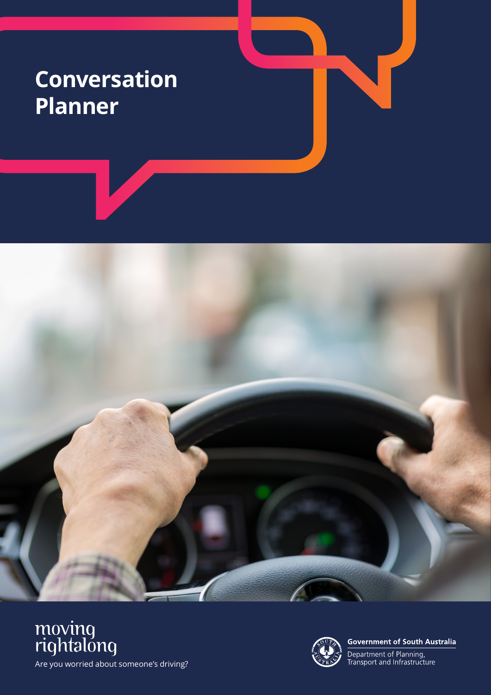## **Conversation Planner**







**Government of South Australia** 

Department of Planning,<br>Transport and Infrastructure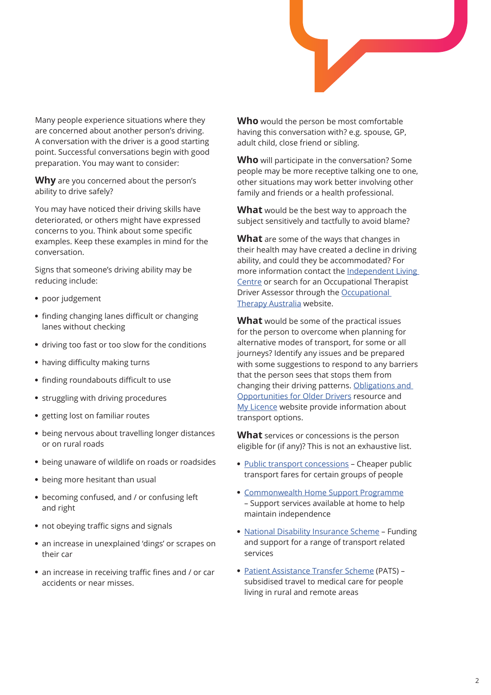

Many people experience situations where they are concerned about another person's driving. A conversation with the driver is a good starting point. Successful conversations begin with good preparation. You may want to consider:

**Why** are you concerned about the person's ability to drive safely?

You may have noticed their driving skills have deteriorated, or others might have expressed concerns to you. Think about some specific examples. Keep these examples in mind for the conversation.

Signs that someone's driving ability may be reducing include:

- poor judgement
- finding changing lanes difficult or changing lanes without checking
- driving too fast or too slow for the conditions
- having difficulty making turns
- finding roundabouts difficult to use
- struggling with driving procedures
- getting lost on familiar routes
- being nervous about travelling longer distances or on rural roads
- being unaware of wildlife on roads or roadsides
- being more hesitant than usual
- becoming confused, and / or confusing left and right
- not obeying traffic signs and signals
- an increase in unexplained 'dings' or scrapes on their car
- an increase in receiving traffic fines and / or car accidents or near misses.

**Who** would the person be most comfortable having this conversation with? e.g. spouse, GP, adult child, close friend or sibling.

**Who** will participate in the conversation? Some people may be more receptive talking one to one, other situations may work better involving other family and friends or a health professional.

**What** would be the best way to approach the subject sensitively and tactfully to avoid blame?

**What** are some of the ways that changes in their health may have created a decline in driving ability, and could they be accommodated? For more information contact the [Independent Living](https://ilcaustralia.org.au/Using_Assistive_Technology/accessible_travel)  [Centre](https://ilcaustralia.org.au/Using_Assistive_Technology/accessible_travel) or search for an Occupational Therapist Driver Assessor through the [Occupational](https://otaus.com.au/find-an-ot)  [Therapy Australia](https://otaus.com.au/find-an-ot) website.

**What** would be some of the practical issues for the person to overcome when planning for alternative modes of transport, for some or all journeys? Identify any issues and be prepared with some suggestions to respond to any barriers that the person sees that stops them from changing their driving patterns. [Obligations and](https://www.dpti.sa.gov.au/__data/assets/pdf_file/0006/575592/Moving_Right_Along_brochure_-_June_2019.pdf)  [Opportunities for Older Drivers](https://www.dpti.sa.gov.au/__data/assets/pdf_file/0006/575592/Moving_Right_Along_brochure_-_June_2019.pdf) resource and [My Licence](https://www.mylicence.sa.gov.au/road-rules/the-drivers-handbook/fitness-to-drive) website provide information about transport options.

**What** services or concessions is the person eligible for (if any)? This is not an exhaustive list.

- [Public transport concessions](https://www.sa.gov.au/topics/care-and-support/concessions-and-grants/concessions/transport-concessions) Cheaper public transport fares for certain groups of people
- [Commonwealth Home Support Programme](https://www.myagedcare.gov.au/help-at-home/commonwealth-home-support-programme) – Support services available at home to help maintain independence
- [National Disability Insurance Scheme](https://www.ndis.gov.au/understanding/ndis-and-other-government-services/transport) Funding and support for a range of transport related services
- [Patient Assistance Transfer Scheme](https://www.sahealth.sa.gov.au/wps/wcm/connect/public+content/sa+health+internet/health+services/country+health+services/patient+assistance+transport+scheme) (PATS) subsidised travel to medical care for people living in rural and remote areas